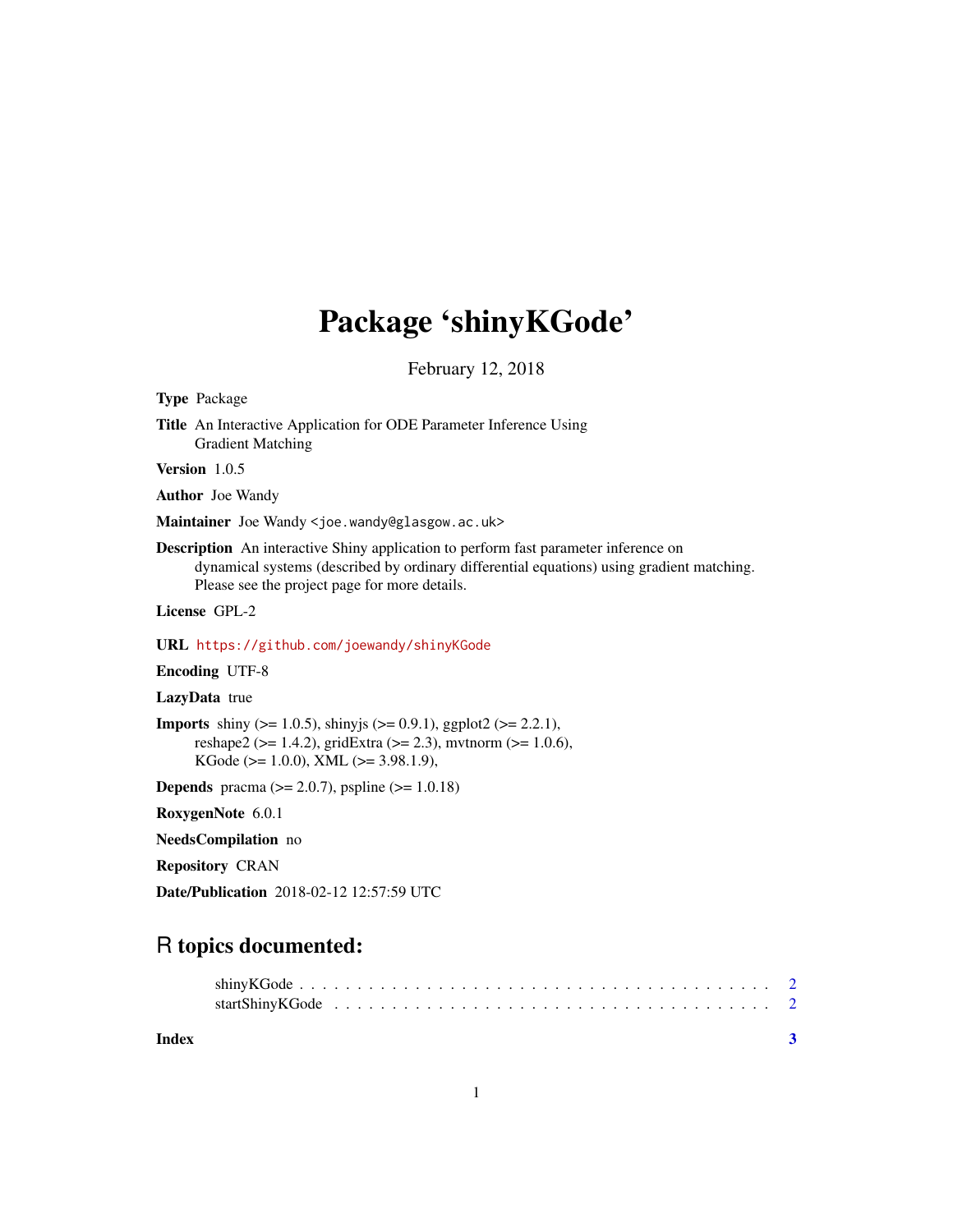## Package 'shinyKGode'

February 12, 2018

Type Package

Title An Interactive Application for ODE Parameter Inference Using Gradient Matching

Version 1.0.5

Author Joe Wandy

Maintainer Joe Wandy <joe.wandy@glasgow.ac.uk>

Description An interactive Shiny application to perform fast parameter inference on dynamical systems (described by ordinary differential equations) using gradient matching. Please see the project page for more details.

License GPL-2

URL <https://github.com/joewandy/shinyKGode>

Encoding UTF-8

LazyData true

```
Imports shiny (> = 1.0.5), shinyjs (> = 0.9.1), ggplot2 (> = 2.2.1),
      reshape2 (>= 1.4.2), gridExtra (>= 2.3), mvtnorm (>= 1.0.6),
      KGode (>= 1.0.0), XML (>= 3.98.1.9),
```
**Depends** pracma ( $>= 2.0.7$ ), pspline ( $>= 1.0.18$ )

RoxygenNote 6.0.1

NeedsCompilation no

Repository CRAN

Date/Publication 2018-02-12 12:57:59 UTC

### R topics documented:

**Index** [3](#page-2-0)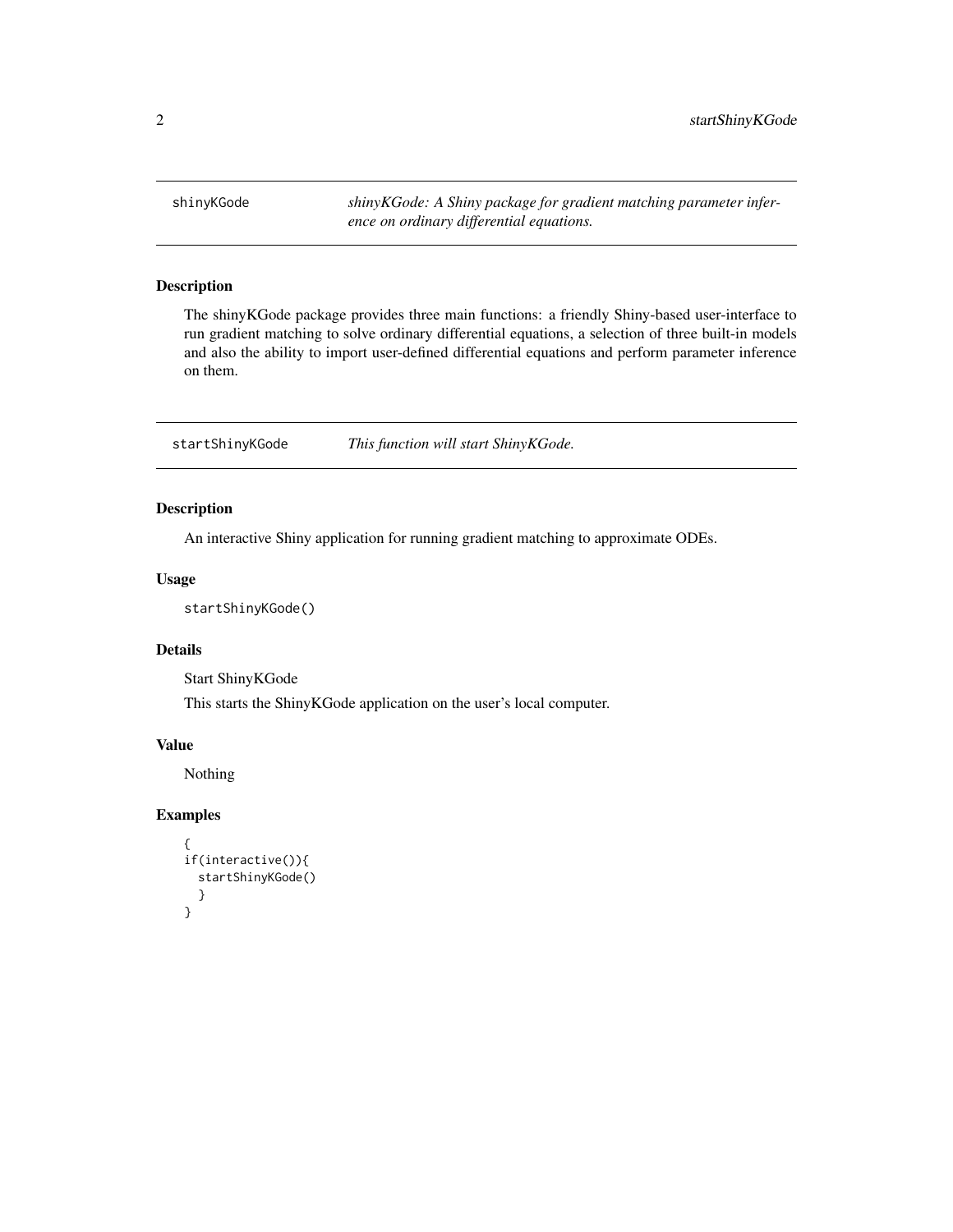<span id="page-1-0"></span>shinyKGode *shinyKGode: A Shiny package for gradient matching parameter inference on ordinary differential equations.*

#### Description

The shinyKGode package provides three main functions: a friendly Shiny-based user-interface to run gradient matching to solve ordinary differential equations, a selection of three built-in models and also the ability to import user-defined differential equations and perform parameter inference on them.

startShinyKGode *This function will start ShinyKGode.*

#### Description

An interactive Shiny application for running gradient matching to approximate ODEs.

#### Usage

startShinyKGode()

#### Details

Start ShinyKGode

This starts the ShinyKGode application on the user's local computer.

#### Value

Nothing

#### Examples

```
{
if(interactive()){
 startShinyKGode()
 }
}
```